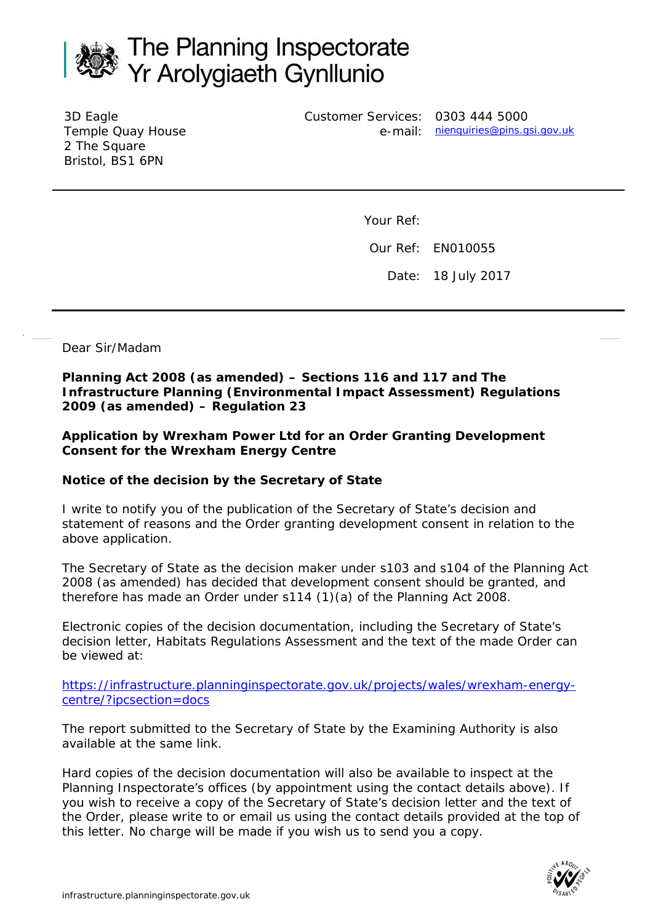

3D Eagle Temple Quay House 2 The Square Bristol, BS1 6PN

Customer Services: 0303 444 5000

e-mail: <u>[nienquiries@pins.gsi.gov.uk](mailto:nienquiries@pins.gsi.gov.uk)</u>

Your Ref:

Our Ref: EN010055

Date: 18 July 2017

Dear Sir/Madam

**Planning Act 2008 (as amended) – Sections 116 and 117 and The Infrastructure Planning (Environmental Impact Assessment) Regulations 2009 (as amended) – Regulation 23** 

**Application by Wrexham Power Ltd for an Order Granting Development Consent for the Wrexham Energy Centre**

## **Notice of the decision by the Secretary of State**

I write to notify you of the publication of the Secretary of State's decision and statement of reasons and the Order granting development consent in relation to the above application.

The Secretary of State as the decision maker under s103 and s104 of the Planning Act 2008 (as amended) has decided that development consent should be granted, and therefore has made an Order under s114 (1)(a) of the Planning Act 2008.

Electronic copies of the decision documentation, including the Secretary of State's decision letter, Habitats Regulations Assessment and the text of the made Order can be viewed at:

[https://infrastructure.planninginspectorate.gov.uk/projects/wales/wrexham-energy](https://infrastructure.planninginspectorate.gov.uk/projects/wales/wrexham-energy-centre/?ipcsection=docs)[centre/?ipcsection=docs](https://infrastructure.planninginspectorate.gov.uk/projects/wales/wrexham-energy-centre/?ipcsection=docs) 

The report submitted to the Secretary of State by the Examining Authority is also available at the same link.

Hard copies of the decision documentation will also be available to inspect at the Planning Inspectorate's offices (by appointment using the contact details above). If you wish to receive a copy of the Secretary of State's decision letter and the text of the Order, please write to or email us using the contact details provided at the top of this letter. No charge will be made if you wish us to send you a copy.